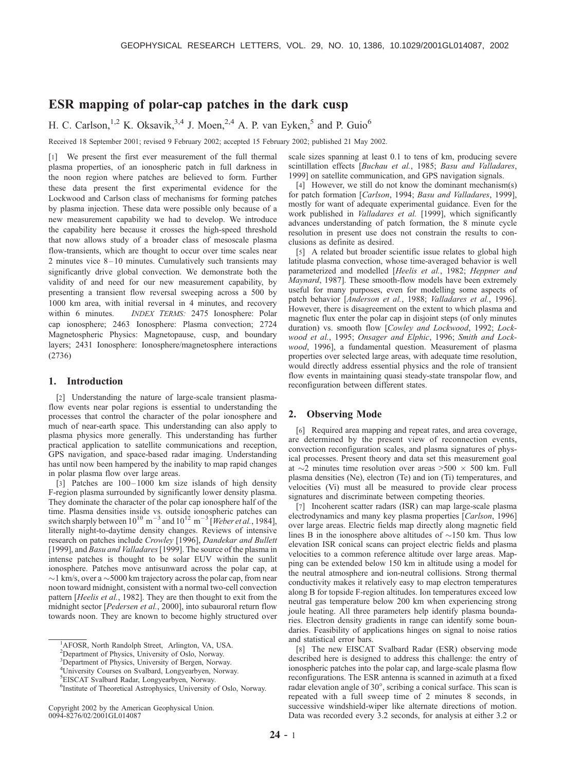# ESR mapping of polar-cap patches in the dark cusp

H. C. Carlson,<sup>1,2</sup> K. Oksavik,<sup>3,4</sup> J. Moen,<sup>2,4</sup> A. P. van Eyken,<sup>5</sup> and P. Guio<sup>6</sup>

Received 18 September 2001; revised 9 February 2002; accepted 15 February 2002; published 21 May 2002.

[1] We present the first ever measurement of the full thermal plasma properties, of an ionospheric patch in full darkness in the noon region where patches are believed to form. Further these data present the first experimental evidence for the Lockwood and Carlson class of mechanisms for forming patches by plasma injection. These data were possible only because of a new measurement capability we had to develop. We introduce the capability here because it crosses the high-speed threshold that now allows study of a broader class of mesoscale plasma flow-transients, which are thought to occur over time scales near 2 minutes vice 8-10 minutes. Cumulatively such transients may significantly drive global convection. We demonstrate both the validity of and need for our new measurement capability, by presenting a transient flow reversal sweeping across a 500 by 1000 km area, with initial reversal in 4 minutes, and recovery within 6 minutes. *INDEX TERMS:* 2475 Ionosphere: Polar cap ionosphere; 2463 Ionosphere: Plasma convection; 2724 Magnetospheric Physics: Magnetopause, cusp, and boundary layers; 2431 Ionosphere: Ionosphere/magnetosphere interactions (2736)

#### 1. Introduction

[2] Understanding the nature of large-scale transient plasmaflow events near polar regions is essential to understanding the processes that control the character of the polar ionosphere and much of near-earth space. This understanding can also apply to plasma physics more generally. This understanding has further practical application to satellite communications and reception, GPS navigation, and space-based radar imaging. Understanding has until now been hampered by the inability to map rapid changes in polar plasma flow over large areas.

[3] Patches are  $100 - 1000$  km size islands of high density F-region plasma surrounded by significantly lower density plasma. They dominate the character of the polar cap ionosphere half of the time. Plasma densities inside vs. outside ionospheric patches can switch sharply between  $10^{10}$  m<sup>-3</sup> and  $10^{12}$  m<sup>-3</sup> [Weber et al., 1984], literally night-to-daytime density changes. Reviews of intensive research on patches include Crowley [1996], Dandekar and Bullett [1999], and Basu and Valladares [1999]. The source of the plasma in intense patches is thought to be solar EUV within the sunlit ionosphere. Patches move antisunward across the polar cap, at  $\sim$ 1 km/s, over a  $\sim$  5000 km trajectory across the polar cap, from near noon toward midnight, consistent with a normal two-cell convection pattern [Heelis et al., 1982]. They are then thought to exit from the midnight sector [*Pedersen et al.*, 2000], into subauroral return flow towards noon. They are known to become highly structured over scale sizes spanning at least 0.1 to tens of km, producing severe scintillation effects [Buchau et al., 1985; Basu and Valladares, 1999] on satellite communication, and GPS navigation signals.

[4] However, we still do not know the dominant mechanism(s) for patch formation [Carlson, 1994; Basu and Valladares, 1999], mostly for want of adequate experimental guidance. Even for the work published in *Valladares et al.* [1999], which significantly advances understanding of patch formation, the 8 minute cycle resolution in present use does not constrain the results to conclusions as definite as desired.

[5] A related but broader scientific issue relates to global high latitude plasma convection, whose time-averaged behavior is well parameterized and modelled [Heelis et al., 1982; Heppner and Maynard, 1987]. These smooth-flow models have been extremely useful for many purposes, even for modelling some aspects of patch behavior [Anderson et al., 1988; Valladares et al., 1996]. However, there is disagreement on the extent to which plasma and magnetic flux enter the polar cap in disjoint steps (of only minutes duration) vs. smooth flow [Cowley and Lockwood, 1992; Lockwood et al., 1995; Onsager and Elphic, 1996; Smith and Lockwood, 1996], a fundamental question. Measurement of plasma properties over selected large areas, with adequate time resolution, would directly address essential physics and the role of transient flow events in maintaining quasi steady-state transpolar flow, and reconfiguration between different states.

## 2. Observing Mode

[6] Required area mapping and repeat rates, and area coverage, are determined by the present view of reconnection events, convection reconfiguration scales, and plasma signatures of physical processes. Present theory and data set this measurement goal at  $\sim$ 2 minutes time resolution over areas >500  $\times$  500 km. Full plasma densities (Ne), electron (Te) and ion (Ti) temperatures, and velocities (Vi) must all be measured to provide clear process signatures and discriminate between competing theories.

[7] Incoherent scatter radars (ISR) can map large-scale plasma electrodynamics and many key plasma properties [Carlson, 1996] over large areas. Electric fields map directly along magnetic field lines B in the ionosphere above altitudes of  $\sim$ 150 km. Thus low elevation ISR conical scans can project electric fields and plasma velocities to a common reference altitude over large areas. Mapping can be extended below 150 km in altitude using a model for the neutral atmosphere and ion-neutral collisions. Strong thermal conductivity makes it relatively easy to map electron temperatures along B for topside F-region altitudes. Ion temperatures exceed low neutral gas temperature below 200 km when experiencing strong joule heating. All three parameters help identify plasma boundaries. Electron density gradients in range can identify some boundaries. Feasibility of applications hinges on signal to noise ratios and statistical error bars.

[8] The new EISCAT Svalbard Radar (ESR) observing mode described here is designed to address this challenge: the entry of ionospheric patches into the polar cap, and large-scale plasma flow reconfigurations. The ESR antenna is scanned in azimuth at a fixed radar elevation angle of  $30^{\circ}$ , scribing a conical surface. This scan is repeated with a full sweep time of 2 minutes 8 seconds, in successive windshield-wiper like alternate directions of motion. Data was recorded every 3.2 seconds, for analysis at either 3.2 or

<sup>&</sup>lt;sup>1</sup>AFOSR, North Randolph Street, Arlington, VA, USA.

<sup>&</sup>lt;sup>2</sup>Department of Physics, University of Oslo, Norway.

<sup>&</sup>lt;sup>3</sup>Department of Physics, University of Bergen, Norway.

<sup>4</sup> University Courses on Svalbard, Longyearbyen, Norway.

<sup>5</sup> EISCAT Svalbard Radar, Longyearbyen, Norway.

<sup>6</sup> Institute of Theoretical Astrophysics, University of Oslo, Norway.

Copyright 2002 by the American Geophysical Union. 0094-8276/02/2001GL014087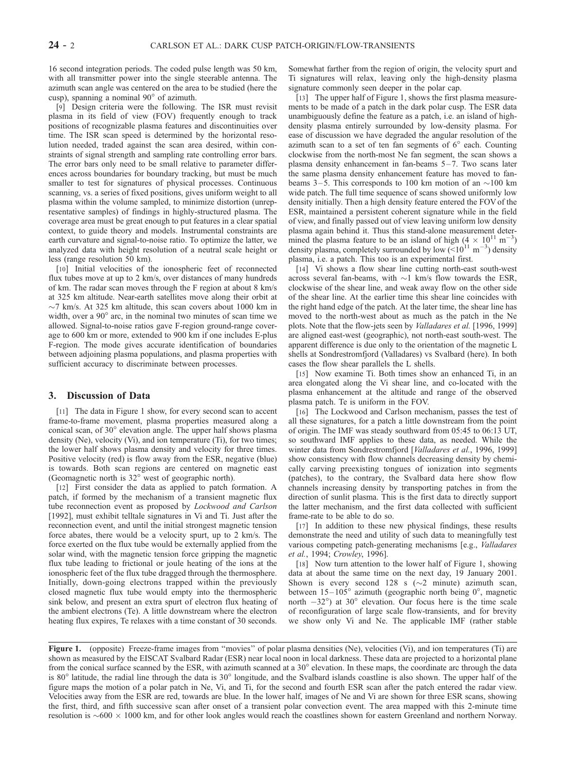16 second integration periods. The coded pulse length was 50 km, with all transmitter power into the single steerable antenna. The azimuth scan angle was centered on the area to be studied (here the cusp), spanning a nominal  $90^\circ$  of azimuth.

[9] Design criteria were the following. The ISR must revisit plasma in its field of view (FOV) frequently enough to track positions of recognizable plasma features and discontinuities over time. The ISR scan speed is determined by the horizontal resolution needed, traded against the scan area desired, within constraints of signal strength and sampling rate controlling error bars. The error bars only need to be small relative to parameter differences across boundaries for boundary tracking, but must be much smaller to test for signatures of physical processes. Continuous scanning, vs. a series of fixed positions, gives uniform weight to all plasma within the volume sampled, to minimize distortion (unrepresentative samples) of findings in highly-structured plasma. The coverage area must be great enough to put features in a clear spatial context, to guide theory and models. Instrumental constraints are earth curvature and signal-to-noise ratio. To optimize the latter, we analyzed data with height resolution of a neutral scale height or less (range resolution 50 km).

[10] Initial velocities of the ionospheric feet of reconnected flux tubes move at up to 2 km/s, over distances of many hundreds of km. The radar scan moves through the F region at about 8 km/s at 325 km altitude. Near-earth satellites move along their orbit at  $\sim$ 7 km/s. At 325 km altitude, this scan covers about 1000 km in width, over a  $90^{\circ}$  arc, in the nominal two minutes of scan time we allowed. Signal-to-noise ratios gave F-region ground-range coverage to 600 km or more, extended to 900 km if one includes E-plus F-region. The mode gives accurate identification of boundaries between adjoining plasma populations, and plasma properties with sufficient accuracy to discriminate between processes.

## 3. Discussion of Data

[11] The data in Figure 1 show, for every second scan to accent frame-to-frame movement, plasma properties measured along a conical scan, of 30° elevation angle. The upper half shows plasma density (Ne), velocity (Vi), and ion temperature (Ti), for two times; the lower half shows plasma density and velocity for three times. Positive velocity (red) is flow away from the ESR, negative (blue) is towards. Both scan regions are centered on magnetic east (Geomagnetic north is  $32^\circ$  west of geographic north).

[12] First consider the data as applied to patch formation. A patch, if formed by the mechanism of a transient magnetic flux tube reconnection event as proposed by Lockwood and Carlson [1992], must exhibit telltale signatures in Vi and Ti. Just after the reconnection event, and until the initial strongest magnetic tension force abates, there would be a velocity spurt, up to 2 km/s. The force exerted on the flux tube would be externally applied from the solar wind, with the magnetic tension force gripping the magnetic flux tube leading to frictional or joule heating of the ions at the ionospheric feet of the flux tube dragged through the thermosphere. Initially, down-going electrons trapped within the previously closed magnetic flux tube would empty into the thermospheric sink below, and present an extra spurt of electron flux heating of the ambient electrons (Te). A little downstream where the electron heating flux expires, Te relaxes with a time constant of 30 seconds.

Somewhat farther from the region of origin, the velocity spurt and Ti signatures will relax, leaving only the high-density plasma signature commonly seen deeper in the polar cap.

[13] The upper half of Figure 1, shows the first plasma measurements to be made of a patch in the dark polar cusp. The ESR data unambiguously define the feature as a patch, i.e. an island of highdensity plasma entirely surrounded by low-density plasma. For ease of discussion we have degraded the angular resolution of the azimuth scan to a set of ten fan segments of  $6^\circ$  each. Counting clockwise from the north-most Ne fan segment, the scan shows a plasma density enhancement in fan-beams  $5-7$ . Two scans later the same plasma density enhancement feature has moved to fanbeams  $3-5$ . This corresponds to 100 km motion of an  $\sim$ 100 km wide patch. The full time sequence of scans showed uniformly low density initially. Then a high density feature entered the FOV of the ESR, maintained a persistent coherent signature while in the field of view, and finally passed out of view leaving uniform low density plasma again behind it. Thus this stand-alone measurement determined the plasma feature to be an island of high  $(4 \times 10^{11} \text{ m}^{-3})$ density plasma, completely surrounded by low  $(<10^{11} \text{ m}^{-3})$  density plasma, i.e. a patch. This too is an experimental first.

[14] Vi shows a flow shear line cutting north-east south-west across several fan-beams, with  $\sim$ 1 km/s flow towards the ESR, clockwise of the shear line, and weak away flow on the other side of the shear line. At the earlier time this shear line coincides with the right hand edge of the patch. At the later time, the shear line has moved to the north-west about as much as the patch in the Ne plots. Note that the flow-jets seen by Valladares et al. [1996, 1999] are aligned east-west (geographic), not north-east south-west. The apparent difference is due only to the orientation of the magnetic L shells at Sondrestromfjord (Valladares) vs Svalbard (here). In both cases the flow shear parallels the L shells.

[15] Now examine Ti. Both times show an enhanced Ti, in an area elongated along the Vi shear line, and co-located with the plasma enhancement at the altitude and range of the observed plasma patch. Te is uniform in the FOV.

[16] The Lockwood and Carlson mechanism, passes the test of all these signatures, for a patch a little downstream from the point of origin. The IMF was steady southward from 05:45 to 06:13 UT, so southward IMF applies to these data, as needed. While the winter data from Sondrestromfjord [Valladares et al., 1996, 1999] show consistency with flow channels decreasing density by chemically carving preexisting tongues of ionization into segments (patches), to the contrary, the Svalbard data here show flow channels increasing density by transporting patches in from the direction of sunlit plasma. This is the first data to directly support the latter mechanism, and the first data collected with sufficient frame-rate to be able to do so.

[17] In addition to these new physical findings, these results demonstrate the need and utility of such data to meaningfully test various competing patch-generating mechanisms [e.g., Valladares et al., 1994; Crowley, 1996].

[18] Now turn attention to the lower half of Figure 1, showing data at about the same time on the next day, 19 January 2001. Shown is every second 128 s  $(\sim 2 \text{ minute})$  azimuth scan, between  $15-105^\circ$  azimuth (geographic north being  $0^\circ$ , magnetic north  $-32^{\circ}$ ) at  $30^{\circ}$  elevation. Our focus here is the time scale of reconfiguration of large scale flow-transients, and for brevity we show only Vi and Ne. The applicable IMF (rather stable

Figure 1. (opposite) Freeze-frame images from "movies" of polar plasma densities (Ne), velocities (Vi), and ion temperatures (Ti) are shown as measured by the EISCAT Svalbard Radar (ESR) near local noon in local darkness. These data are projected to a horizontal plane from the conical surface scanned by the ESR, with azimuth scanned at a  $30^{\circ}$  elevation. In these maps, the coordinate arc through the data is  $80^\circ$  latitude, the radial line through the data is  $30^\circ$  longitude, and the Svalbard islands coastline is also shown. The upper half of the figure maps the motion of a polar patch in Ne, Vi, and Ti, for the second and fourth ESR scan after the patch entered the radar view. Velocities away from the ESR are red, towards are blue. In the lower half, images of Ne and Vi are shown for three ESR scans, showing the first, third, and fifth successive scan after onset of a transient polar convection event. The area mapped with this 2-minute time resolution is  $\sim$  600  $\times$  1000 km, and for other look angles would reach the coastlines shown for eastern Greenland and northern Norway.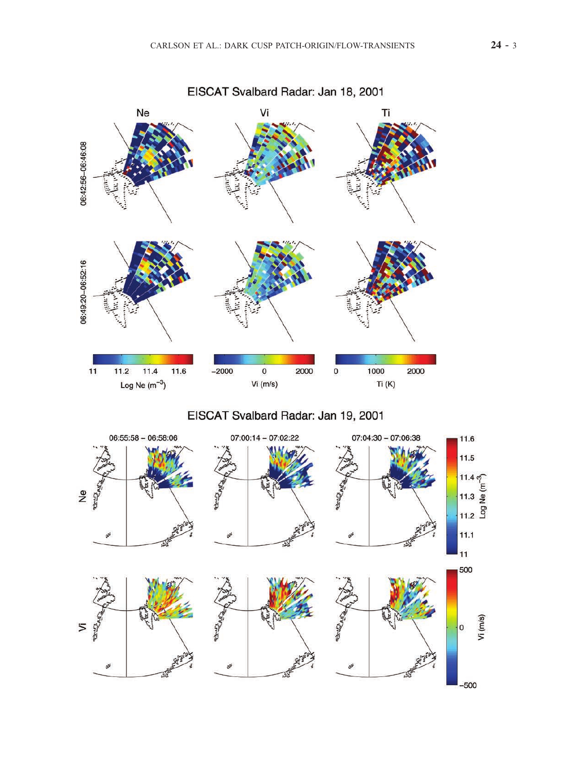